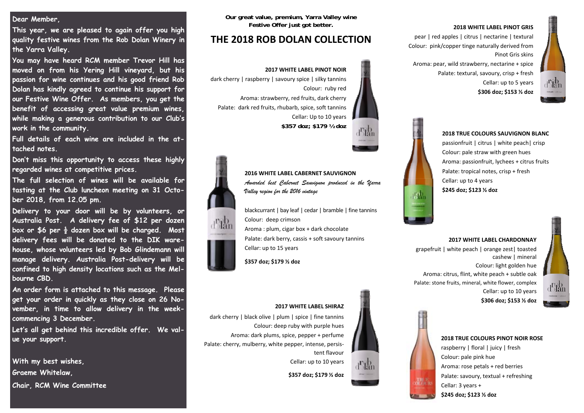#### **Dear Member,**

**This year, we are pleased to again offer you high quality festive wines from the Rob Dolan Winery in the Yarra Valley.** 

**You may have heard RCM member Trevor Hill has moved on from his Yering Hill vineyard, but his passion for wine continues and his good friend Rob Dolan has kindly agreed to continue his support for our Festive Wine Offer. As members, you get the benefit of accessing great value premium wines, while making a generous contribution to our Club's work in the community.** 

**Full details of each wine are included in the attached notes.** 

**Don't miss this opportunity to access these highly regarded wines at competitive prices.** 

**The full selection of wines will be available for tasting at the Club luncheon meeting on 31 October 2018, from 12.05 pm.** 

**Delivery to your door will be by volunteers, or Australia Post. A delivery fee of \$12 per dozen box or \$6 per ½ dozen box will be charged. Most delivery fees will be donated to the DIK warehouse, whose volunteers led by Bob Glindemann will manage delivery. Australia Post-delivery will be confined to high density locations such as the Melbourne CBD.** 

**An order form is attached to this message. Please get your order in quickly as they close on 26 November, in time to allow delivery in the weekcommencing 3 December.** 

**Let's all get behind this incredible offer. We value your support.** 

**With my best wishes, Graeme Whitelaw,** 

**Chair, RCM Wine Committee** 

**Our great value, premium, Yarra Valley wine Festive Offer just got better.** 

### **THE 2018 ROB DOLAN COLLECTION**

## **2017 WHITE LABEL PINOT NOIR**

dark cherry | raspberry | savoury spice | silky tannins Colour: ruby red

Aroma: strawberry, red fruits, dark cherry Palate: dark red fruits, rhubarb, spice, soft tannins Cellar: Up to 10 years

**\$357 doz; \$179 ½ doz**



**2016 WHITE LABEL CABERNET SAUVIGNON***Awarded best Cabernet Sauvignon produced in the Yarra Valley region for the 2016 vintage* 

blackcurrant | bay leaf | cedar | bramble | fine tannins Colour: deep crimson Aroma : plum, cigar box <sup>+</sup> dark chocolate Palate: dark berry, cassis <sup>+</sup> soft savoury tannins Cellar: up to 15 years

#### **\$357 doz; \$179 ½ doz**



#### **2018 WHITE LABEL PINOT GRIS**

pear | red apples | citrus | nectarine | textural Colour: pink/copper tinge naturally derived from Pinot Gris skins

Aroma: pear, wild strawberry, nectarine <sup>+</sup> spice Palate: textural, savoury, crisp <sup>+</sup> fresh Cellar: up to 5 years **\$306 doz; \$153 ½ doz**



# **2018 TRUE COLOURS SAUVIGNON BLANC** passionfruit | citrus | white peach| crisp Colour: pale straw with green hues Palate: tropical notes, crisp <sup>+</sup> fresh Cellar: up to 4 years

#### Aroma: passionfruit, lychees <sup>+</sup> citrus fruits

**\$245 doz; \$123 ½ doz**

#### **2017 WHITE LABEL CHARDONNAY**

grapefruit | white peach | orange zest| toasted cashew | mineral Colour: light golden hue Aroma: citrus, flint, white peach <sup>+</sup> subtle oak Palate: stone fruits, mineral, white flower, complex Cellar: up to 10 years **\$306 doz; \$153 ½ doz**



### **2018 TRUE COLOURS PINOT NOIR ROSE** raspberry | floral | juicy | fresh Colour: pale pink hue Aroma: rose petals <sup>+</sup> red berries

Palate: savoury, textual <sup>+</sup> refreshing Cellar: 3 years <sup>+</sup>

**\$245 doz; \$123 ½ doz**